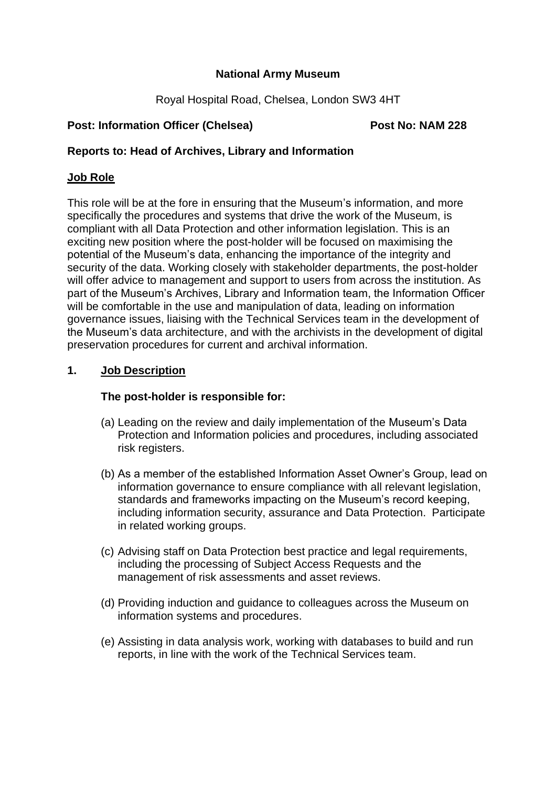## **National Army Museum**

Royal Hospital Road, Chelsea, London SW3 4HT

## **Post: Information Officer (Chelsea) Post No: NAM 228**

## **Reports to: Head of Archives, Library and Information**

## **Job Role**

This role will be at the fore in ensuring that the Museum's information, and more specifically the procedures and systems that drive the work of the Museum, is compliant with all Data Protection and other information legislation. This is an exciting new position where the post-holder will be focused on maximising the potential of the Museum's data, enhancing the importance of the integrity and security of the data. Working closely with stakeholder departments, the post-holder will offer advice to management and support to users from across the institution. As part of the Museum's Archives, Library and Information team, the Information Officer will be comfortable in the use and manipulation of data, leading on information governance issues, liaising with the Technical Services team in the development of the Museum's data architecture, and with the archivists in the development of digital preservation procedures for current and archival information.

## **1. Job Description**

## **The post-holder is responsible for:**

- (a) Leading on the review and daily implementation of the Museum's Data Protection and Information policies and procedures, including associated risk registers.
- (b) As a member of the established Information Asset Owner's Group, lead on information governance to ensure compliance with all relevant legislation, standards and frameworks impacting on the Museum's record keeping, including information security, assurance and Data Protection. Participate in related working groups.
- (c) Advising staff on Data Protection best practice and legal requirements, including the processing of Subject Access Requests and the management of risk assessments and asset reviews.
- (d) Providing induction and guidance to colleagues across the Museum on information systems and procedures.
- (e) Assisting in data analysis work, working with databases to build and run reports, in line with the work of the Technical Services team.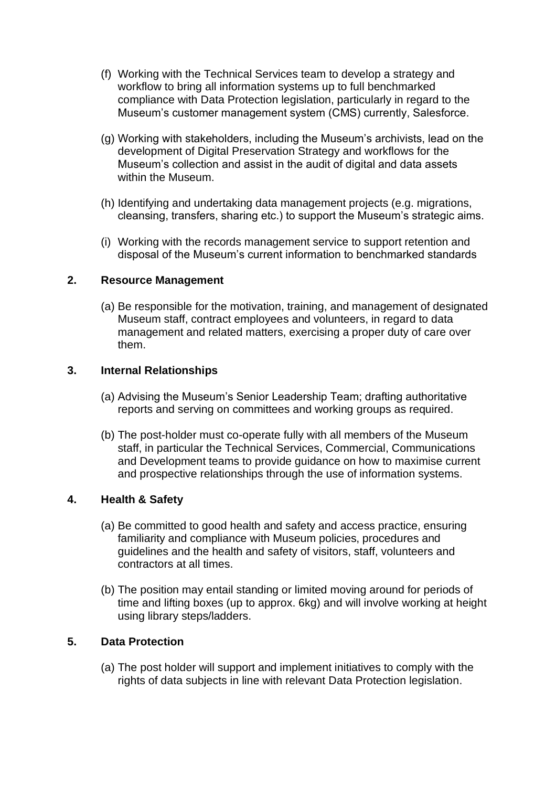- (f) Working with the Technical Services team to develop a strategy and workflow to bring all information systems up to full benchmarked compliance with Data Protection legislation, particularly in regard to the Museum's customer management system (CMS) currently, Salesforce.
- (g) Working with stakeholders, including the Museum's archivists, lead on the development of Digital Preservation Strategy and workflows for the Museum's collection and assist in the audit of digital and data assets within the Museum.
- (h) Identifying and undertaking data management projects (e.g. migrations, cleansing, transfers, sharing etc.) to support the Museum's strategic aims.
- (i) Working with the records management service to support retention and disposal of the Museum's current information to benchmarked standards

### **2. Resource Management**

(a) Be responsible for the motivation, training, and management of designated Museum staff, contract employees and volunteers, in regard to data management and related matters, exercising a proper duty of care over them.

### **3. Internal Relationships**

- (a) Advising the Museum's Senior Leadership Team; drafting authoritative reports and serving on committees and working groups as required.
- (b) The post-holder must co-operate fully with all members of the Museum staff, in particular the Technical Services, Commercial, Communications and Development teams to provide guidance on how to maximise current and prospective relationships through the use of information systems.

# **4. Health & Safety**

- (a) Be committed to good health and safety and access practice, ensuring familiarity and compliance with Museum policies, procedures and guidelines and the health and safety of visitors, staff, volunteers and contractors at all times.
- (b) The position may entail standing or limited moving around for periods of time and lifting boxes (up to approx. 6kg) and will involve working at height using library steps/ladders.

# **5. Data Protection**

(a) The post holder will support and implement initiatives to comply with the rights of data subjects in line with relevant Data Protection legislation.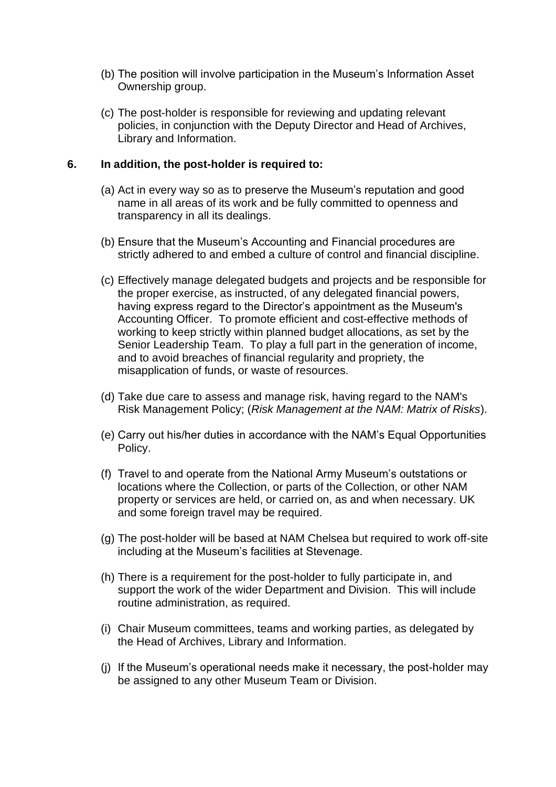- (b) The position will involve participation in the Museum's Information Asset Ownership group.
- (c) The post-holder is responsible for reviewing and updating relevant policies, in conjunction with the Deputy Director and Head of Archives, Library and Information.

#### **6. In addition, the post-holder is required to:**

- (a) Act in every way so as to preserve the Museum's reputation and good name in all areas of its work and be fully committed to openness and transparency in all its dealings.
- (b) Ensure that the Museum's Accounting and Financial procedures are strictly adhered to and embed a culture of control and financial discipline.
- (c) Effectively manage delegated budgets and projects and be responsible for the proper exercise, as instructed, of any delegated financial powers, having express regard to the Director's appointment as the Museum's Accounting Officer. To promote efficient and cost-effective methods of working to keep strictly within planned budget allocations, as set by the Senior Leadership Team. To play a full part in the generation of income, and to avoid breaches of financial regularity and propriety, the misapplication of funds, or waste of resources.
- (d) Take due care to assess and manage risk, having regard to the NAM's Risk Management Policy; (*Risk Management at the NAM: Matrix of Risks*).
- (e) Carry out his/her duties in accordance with the NAM's Equal Opportunities Policy.
- (f) Travel to and operate from the National Army Museum's outstations or locations where the Collection, or parts of the Collection, or other NAM property or services are held, or carried on, as and when necessary. UK and some foreign travel may be required.
- (g) The post-holder will be based at NAM Chelsea but required to work off-site including at the Museum's facilities at Stevenage.
- (h) There is a requirement for the post-holder to fully participate in, and support the work of the wider Department and Division. This will include routine administration, as required.
- (i) Chair Museum committees, teams and working parties, as delegated by the Head of Archives, Library and Information.
- (j) If the Museum's operational needs make it necessary, the post-holder may be assigned to any other Museum Team or Division.